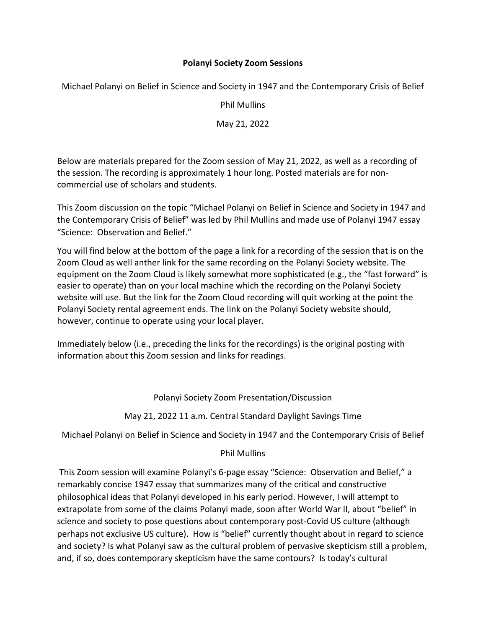## **Polanyi Society Zoom Sessions**

Michael Polanyi on Belief in Science and Society in 1947 and the Contemporary Crisis of Belief

Phil Mullins

May 21, 2022

Below are materials prepared for the Zoom session of May 21, 2022, as well as a recording of the session. The recording is approximately 1 hour long. Posted materials are for noncommercial use of scholars and students.

This Zoom discussion on the topic "Michael Polanyi on Belief in Science and Society in 1947 and the Contemporary Crisis of Belief" was led by Phil Mullins and made use of Polanyi 1947 essay "Science: Observation and Belief."

You will find below at the bottom of the page a link for a recording of the session that is on the Zoom Cloud as well anther link for the same recording on the Polanyi Society website. The equipment on the Zoom Cloud is likely somewhat more sophisticated (e.g., the "fast forward" is easier to operate) than on your local machine which the recording on the Polanyi Society website will use. But the link for the Zoom Cloud recording will quit working at the point the Polanyi Society rental agreement ends. The link on the Polanyi Society website should, however, continue to operate using your local player.

Immediately below (i.e., preceding the links for the recordings) is the original posting with information about this Zoom session and links for readings.

Polanyi Society Zoom Presentation/Discussion

May 21, 2022 11 a.m. Central Standard Daylight Savings Time

Michael Polanyi on Belief in Science and Society in 1947 and the Contemporary Crisis of Belief

## Phil Mullins

This Zoom session will examine Polanyi's 6-page essay "Science: Observation and Belief," a remarkably concise 1947 essay that summarizes many of the critical and constructive philosophical ideas that Polanyi developed in his early period. However, I will attempt to extrapolate from some of the claims Polanyi made, soon after World War II, about "belief" in science and society to pose questions about contemporary post-Covid US culture (although perhaps not exclusive US culture). How is "belief" currently thought about in regard to science and society? Is what Polanyi saw as the cultural problem of pervasive skepticism still a problem, and, if so, does contemporary skepticism have the same contours? Is today's cultural